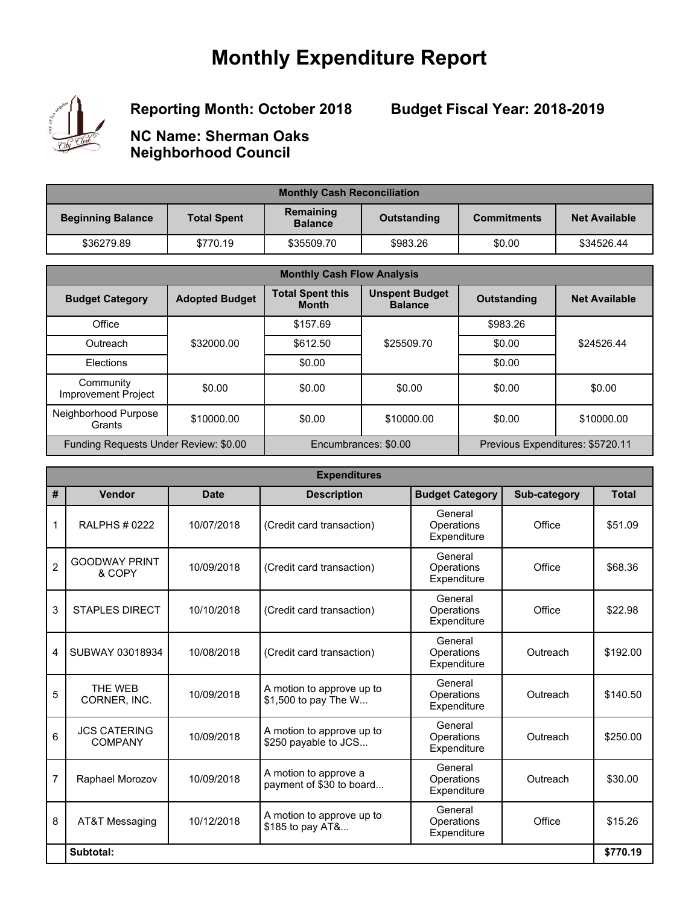## **Monthly Expenditure Report**



**Reporting Month: October 2018**

**Budget Fiscal Year: 2018-2019**

**NC Name: Sherman Oaks Neighborhood Council**

| <b>Monthly Cash Reconciliation</b> |                    |                             |             |                    |                      |  |
|------------------------------------|--------------------|-----------------------------|-------------|--------------------|----------------------|--|
| <b>Beginning Balance</b>           | <b>Total Spent</b> | Remaining<br><b>Balance</b> | Outstanding | <b>Commitments</b> | <b>Net Available</b> |  |
| \$36279.89                         | \$770.19           | \$35509.70                  | \$983.26    | \$0.00             | \$34526.44           |  |

| <b>Monthly Cash Flow Analysis</b>       |                       |                                         |                                         |             |                                  |  |
|-----------------------------------------|-----------------------|-----------------------------------------|-----------------------------------------|-------------|----------------------------------|--|
| <b>Budget Category</b>                  | <b>Adopted Budget</b> | <b>Total Spent this</b><br><b>Month</b> | <b>Unspent Budget</b><br><b>Balance</b> | Outstanding | <b>Net Available</b>             |  |
| Office                                  | \$32000.00            | \$157.69                                |                                         | \$983.26    |                                  |  |
| Outreach                                |                       | \$612.50                                | \$25509.70                              | \$0.00      | \$24526.44                       |  |
| Elections                               |                       | \$0.00                                  |                                         | \$0.00      |                                  |  |
| Community<br><b>Improvement Project</b> | \$0.00                | \$0.00                                  | \$0.00                                  | \$0.00      | \$0.00                           |  |
| Neighborhood Purpose<br>Grants          | \$10000.00            | \$0.00                                  | \$10000.00                              | \$0.00      | \$10000.00                       |  |
| Funding Requests Under Review: \$0.00   |                       | Encumbrances: \$0.00                    |                                         |             | Previous Expenditures: \$5720.11 |  |

| <b>Expenditures</b> |                                       |             |                                                   |                                      |              |              |
|---------------------|---------------------------------------|-------------|---------------------------------------------------|--------------------------------------|--------------|--------------|
| #                   | Vendor                                | <b>Date</b> | <b>Description</b>                                | <b>Budget Category</b>               | Sub-category | <b>Total</b> |
| 1                   | <b>RALPHS # 0222</b>                  | 10/07/2018  | (Credit card transaction)                         | General<br>Operations<br>Expenditure | Office       | \$51.09      |
| $\overline{2}$      | <b>GOODWAY PRINT</b><br>& COPY        | 10/09/2018  | (Credit card transaction)                         | General<br>Operations<br>Expenditure | Office       | \$68.36      |
| 3                   | <b>STAPLES DIRECT</b>                 | 10/10/2018  | (Credit card transaction)                         | General<br>Operations<br>Expenditure | Office       | \$22.98      |
| 4                   | SUBWAY 03018934                       | 10/08/2018  | (Credit card transaction)                         | General<br>Operations<br>Expenditure | Outreach     | \$192.00     |
| 5                   | THE WEB<br>CORNER, INC.               | 10/09/2018  | A motion to approve up to<br>\$1,500 to pay The W | General<br>Operations<br>Expenditure | Outreach     | \$140.50     |
| 6                   | <b>JCS CATERING</b><br><b>COMPANY</b> | 10/09/2018  | A motion to approve up to<br>\$250 payable to JCS | General<br>Operations<br>Expenditure | Outreach     | \$250.00     |
| $\overline{7}$      | Raphael Morozov                       | 10/09/2018  | A motion to approve a<br>payment of \$30 to board | General<br>Operations<br>Expenditure | Outreach     | \$30.00      |
| 8                   | AT&T Messaging                        | 10/12/2018  | A motion to approve up to<br>\$185 to pay AT&     | General<br>Operations<br>Expenditure | Office       | \$15.26      |
|                     | Subtotal:                             |             |                                                   |                                      |              | \$770.19     |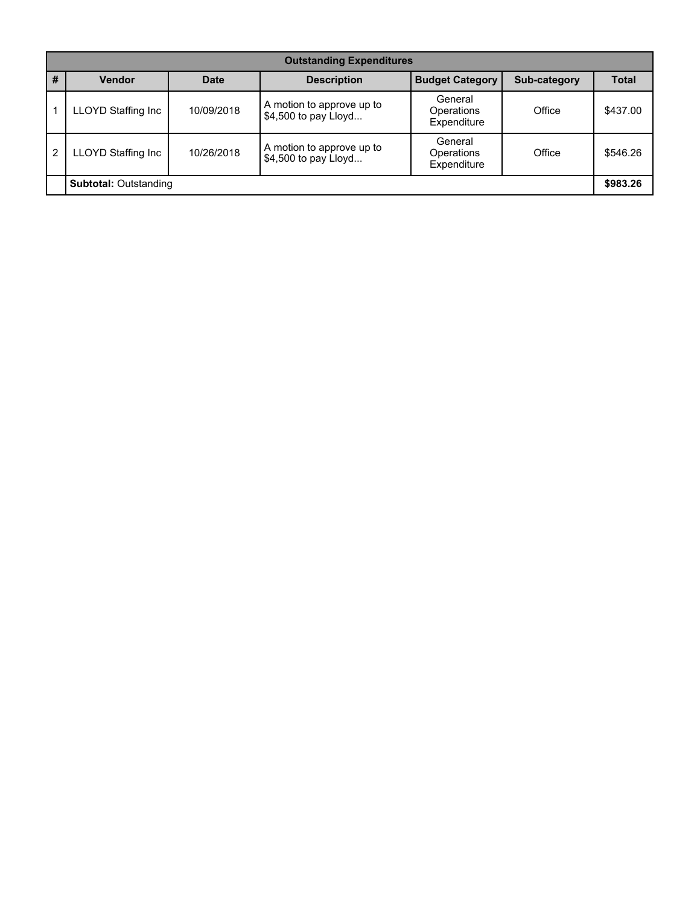|                | <b>Outstanding Expenditures</b> |             |                                                   |                                      |              |              |  |  |  |
|----------------|---------------------------------|-------------|---------------------------------------------------|--------------------------------------|--------------|--------------|--|--|--|
| #              | <b>Vendor</b>                   | <b>Date</b> | <b>Description</b>                                | <b>Budget Category</b>               | Sub-category | <b>Total</b> |  |  |  |
|                | <b>LLOYD Staffing Inc</b>       | 10/09/2018  | A motion to approve up to<br>\$4,500 to pay Lloyd | General<br>Operations<br>Expenditure | Office       | \$437.00     |  |  |  |
| $\overline{2}$ | <b>LLOYD Staffing Inc</b>       | 10/26/2018  | A motion to approve up to<br>\$4,500 to pay Lloyd | General<br>Operations<br>Expenditure | Office       | \$546.26     |  |  |  |
|                | <b>Subtotal: Outstanding</b>    |             |                                                   |                                      |              |              |  |  |  |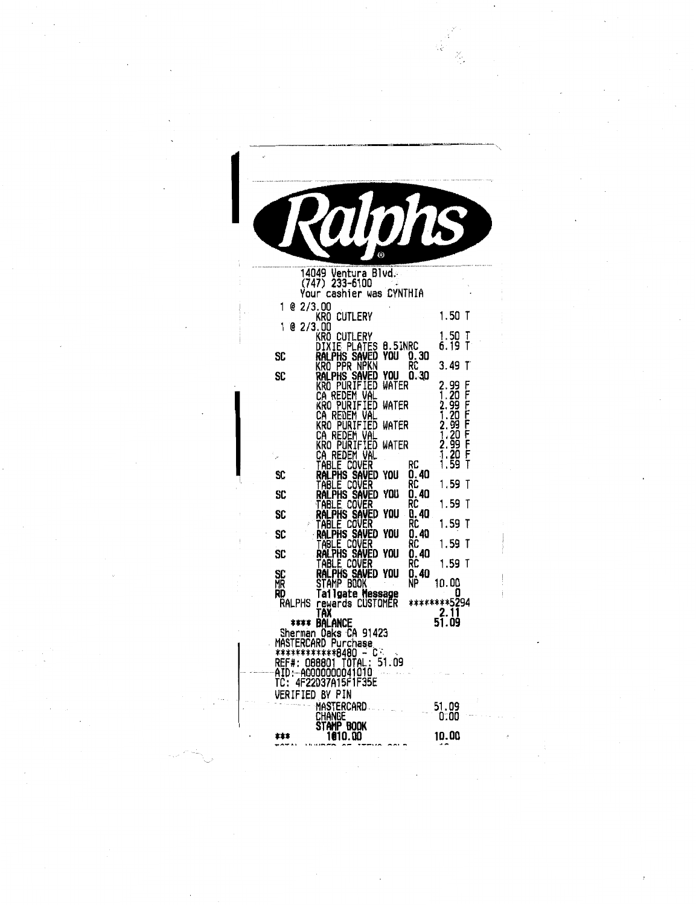|              |                                              | (Ñ)                                  |                     |                              |        |
|--------------|----------------------------------------------|--------------------------------------|---------------------|------------------------------|--------|
|              | 14049 Ventura Blvd.<br>233-6100<br>(747)     |                                      |                     |                              |        |
| 1<br>e       | Your<br>2/3.00                               | cashier was CYNTHIA                  |                     |                              |        |
| 1<br>e       | kro cutlery<br>2/3.00                        |                                      |                     | 1.50                         | T      |
| SC           | KRO CUTLERY<br>DIXIE PLATES<br>ralphs Saved  |                                      | 8.5INRC<br>YOU 0.30 | 1.50<br>6.19                 | Ŧ<br>T |
|              | kro ppr npkn                                 |                                      |                     | 3.49                         | T      |
| SC           | ralphs saved<br>KRO PURIFIED<br>ca redem val | YOU<br>WATER                         | 0.30                | 2.99<br>1.20                 | F      |
|              | KRO PURIFIED<br>ca redem val                 | WATER                                |                     | 2.99<br>1.20<br>2.99<br>1.20 |        |
|              | KRO PURIFIED<br>ca redem val                 |                                      | WATER               |                              |        |
|              | KRO PURIFIED<br>CA                           | redem val                            | WATER               | 99<br>20<br>2.<br>1          | アマママママ |
| SC           | TABLE COVER<br>ral PhS                       | <b>SAVED</b><br>YOU                  | RC<br>0.40          | 1.<br>59                     |        |
|              | table cover<br>Ralphs Saved                  |                                      | RC                  | 1.59                         | Τ      |
| SC           | TABLE COVER                                  | YOU                                  | O. 40<br>RC         | 1.59                         | T      |
| SC           | ralphs saved<br>table cover<br>Ralphs Saved  | YOU                                  | 0. 40<br>ŔĈ         | 1.59                         | Ŧ      |
| SC           | table cover                                  | You                                  | 0.40<br>RC          | 1.59                         | T      |
| SC           | ralphs saved                                 | YOU                                  | O. 40<br>RC         | 1.59                         | T      |
| SC<br>MR     | table cover<br>Ralphs saved<br>STAMP BOOK    | YOU                                  | 0.40<br>ŃP          | 10.OO                        |        |
| RD<br>Ralphs |                                              | Tailgate Message<br>rewards CUSTOMER |                     | ********5294                 |        |
|              | TAX                                          |                                      |                     | 2.11<br>51.09                |        |
|              | **** BALANCE<br>Sherman Oaks CA 91423        |                                      |                     |                              |        |
|              | MASTERCARD Purchase<br>************8480 - C: |                                      |                     |                              |        |
|              | REF#: 088801_TOTAL:<br>AID: A0000000041010   | 51.09                                |                     |                              |        |
| TC:          | 4F22D37A15F1F35E<br>VERIFIED BY PIN          |                                      |                     |                              |        |
|              | Mastercard.                                  |                                      |                     | 51.09<br>0:00                |        |
|              | Change<br>stamp book                         |                                      |                     |                              |        |
|              | 1010.00                                      |                                      |                     | 10.00                        |        |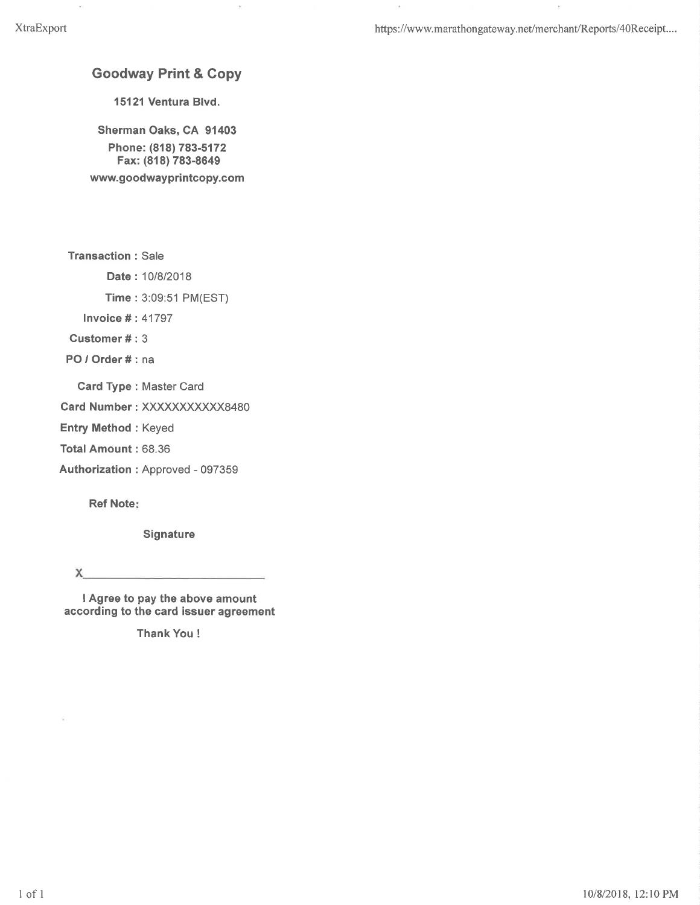https://www.marathongateway.net/merchant/Reports/40Receipt....

ò.

#### **Goodway Print & Copy**

 $\bar{b}$ 

15121 Ventura Blvd.

Sherman Oaks, CA 91403 Phone: (818) 783-5172 Fax: (818) 783-8649 www.goodwayprintcopy.com

**Transaction: Sale** 

Date: 10/8/2018

Time: 3:09:51 PM(EST)

**Invoice #: 41797** 

Customer#: 3

PO / Order # : na

Card Type: Master Card

Card Number: XXXXXXXXXXX8480

**Entry Method: Keyed** 

Total Amount: 68.36

Authorization: Approved - 097359

**Ref Note:** 

Signature

X.

I Agree to pay the above amount according to the card issuer agreement

**Thank You!**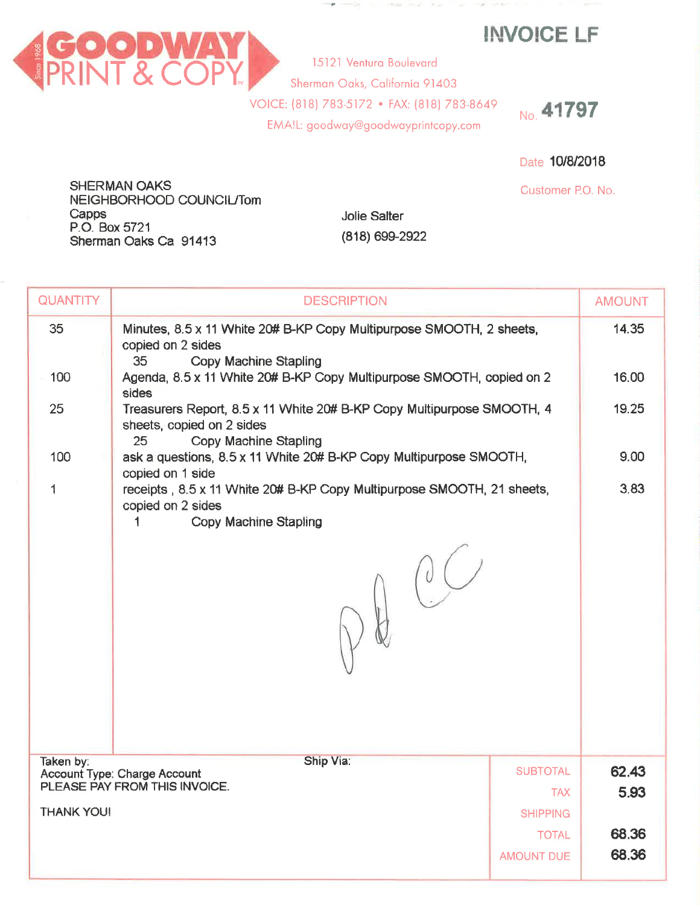**INVOICE LF** 



**Jolie Salter** 

(818) 699-2922

No. 41797

Date 10/8/2018

Customer P.O. No.

SHERMAN OAKS NEIGHBORHOOD COUNCIL/Tom Capps P.O. Box 5721 Sherman Oaks Ca 91413

| <b>QUANTITY</b> | <b>DESCRIPTION</b>                                                                                                                            |                 | <b>AMOUNT</b>  |  |  |
|-----------------|-----------------------------------------------------------------------------------------------------------------------------------------------|-----------------|----------------|--|--|
| 35              | Minutes, 8.5 x 11 White 20# B-KP Copy Multipurpose SMOOTH, 2 sheets,<br>copied on 2 sides<br>35<br><b>Copy Machine Stapling</b>               |                 | 14.35          |  |  |
| 100             | Agenda, 8.5 x 11 White 20# B-KP Copy Multipurpose SMOOTH, copied on 2<br>sides                                                                |                 |                |  |  |
| 25              | Treasurers Report, 8.5 x 11 White 20# B-KP Copy Multipurpose SMOOTH, 4<br>sheets, copied on 2 sides<br>Copy Machine Stapling<br>25            |                 |                |  |  |
| 100             | ask a questions, 8.5 x 11 White 20# B-KP Copy Multipurpose SMOOTH,                                                                            |                 | 9.00           |  |  |
| 1               | copied on 1 side<br>receipts, 8.5 x 11 White 20# B-KP Copy Multipurpose SMOOTH, 21 sheets,<br>copied on 2 sides<br>Copy Machine Stapling<br>1 |                 |                |  |  |
| Taken by:       | Ship Via:<br><b>Account Type: Charge Account</b>                                                                                              | <b>SUBTOTAL</b> | 62.43          |  |  |
|                 | PLEASE PAY FROM THIS INVOICE.                                                                                                                 | <b>TAX</b>      | 5.93           |  |  |
|                 | <b>THANK YOU!</b><br><b>SHIPPING</b>                                                                                                          |                 |                |  |  |
|                 |                                                                                                                                               | <b>TOTAL</b>    | 68,36<br>68.36 |  |  |
|                 | <b>AMOUNT DUE</b>                                                                                                                             |                 |                |  |  |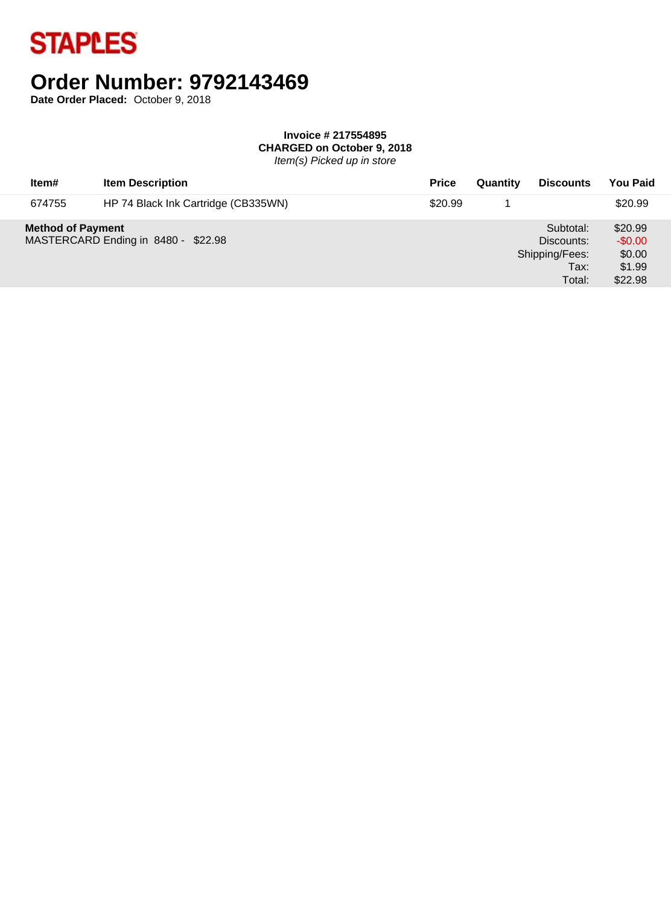

# **Order Number: 9792143469**

**Date Order Placed:** October 9, 2018

#### **Invoice # 217554895 CHARGED on October 9, 2018**

Item(s) Picked up in store

| Item#                    | <b>Item Description</b>             | <b>Price</b> | Quantity | <b>Discounts</b>                                            | <b>You Paid</b>                                    |
|--------------------------|-------------------------------------|--------------|----------|-------------------------------------------------------------|----------------------------------------------------|
| 674755                   | HP 74 Black Ink Cartridge (CB335WN) | \$20.99      |          |                                                             | \$20.99                                            |
| <b>Method of Payment</b> | MASTERCARD Ending in 8480 - \$22.98 |              |          | Subtotal:<br>Discounts:<br>Shipping/Fees:<br>Tax:<br>Total: | \$20.99<br>$-$0.00$<br>\$0.00<br>\$1.99<br>\$22.98 |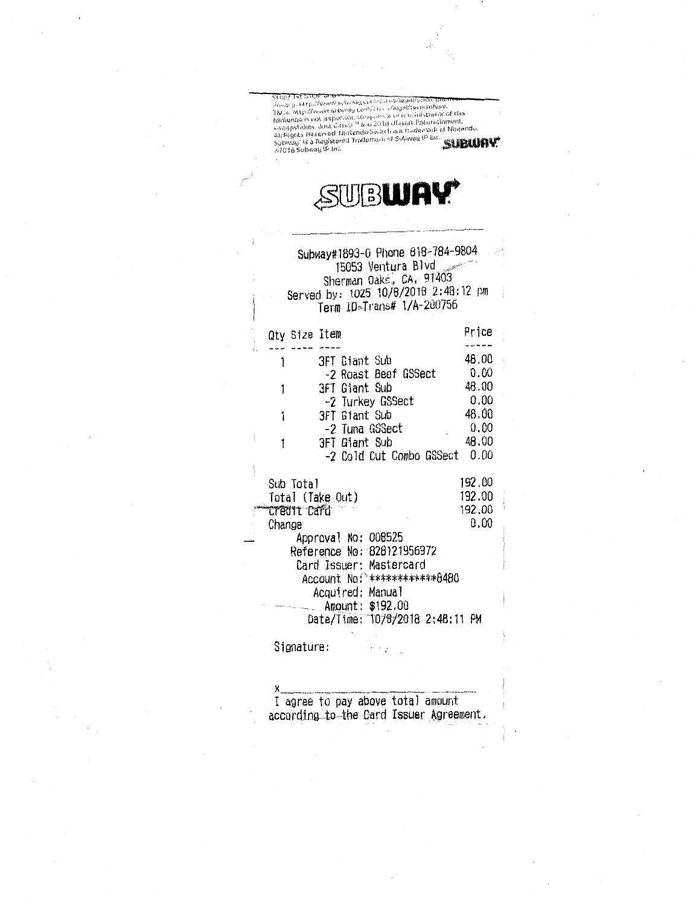Stop? Txt 5100 to an experimental solidarity.Prostitutes<br>Provacy, http://www.subwelp.com/compositions.html<br>TKCs, http://www.subwelp.com/composition commistrator of this<br>syappisties, Jour Dance<sup>ria</sup> & a 2018 Ullisoft Entert

# SUBUAY\*

|                                 | Subway#1893-0 Phone 818-784-9804<br>15053 Ventura Blvd<br>Sherman Oake, CA, 91403<br>Served by: 1025 10/8/2018 2:48:12 pm<br>Term ID-Trans# 1/A-200756 |        |
|---------------------------------|--------------------------------------------------------------------------------------------------------------------------------------------------------|--------|
| Qty Size Item                   |                                                                                                                                                        | Price  |
|                                 |                                                                                                                                                        |        |
| 1                               | 3FT Giant Sub                                                                                                                                          | 48.00  |
|                                 | -2 Roast Beef GSSect                                                                                                                                   | 0.00   |
| 1                               | 3FT Giant Sub                                                                                                                                          | 48,00  |
|                                 | -2 Turkey GSSect                                                                                                                                       | 0,00   |
| 1                               | 3FT Giant Sub                                                                                                                                          | 48.00  |
|                                 | -2 Tuna GSSect                                                                                                                                         | 0.00   |
| 1                               | 3FT Giant Sub                                                                                                                                          | 48,00  |
|                                 | -2 Cold Cut Combo GSSect                                                                                                                               | 0.00   |
|                                 |                                                                                                                                                        | 192.00 |
| Sub Total                       |                                                                                                                                                        | 192.00 |
| Total (Take Out)<br>credit Card |                                                                                                                                                        | 192.00 |
| Change                          |                                                                                                                                                        | 0,00   |
|                                 | Approval No: 008525                                                                                                                                    |        |
|                                 | Reference No: 828121956972                                                                                                                             |        |
|                                 | Card Issuer: Mastercard                                                                                                                                |        |
|                                 | Account No: *************8480                                                                                                                          |        |
|                                 | Acquired: Manual                                                                                                                                       |        |
|                                 | Amount: \$192.00                                                                                                                                       |        |
|                                 | Date/Time: 10/8/2018 2:48:11 PM                                                                                                                        |        |
|                                 |                                                                                                                                                        |        |

Signature:

χ I agree to pay above total amount according to the Card Issuer Agreement.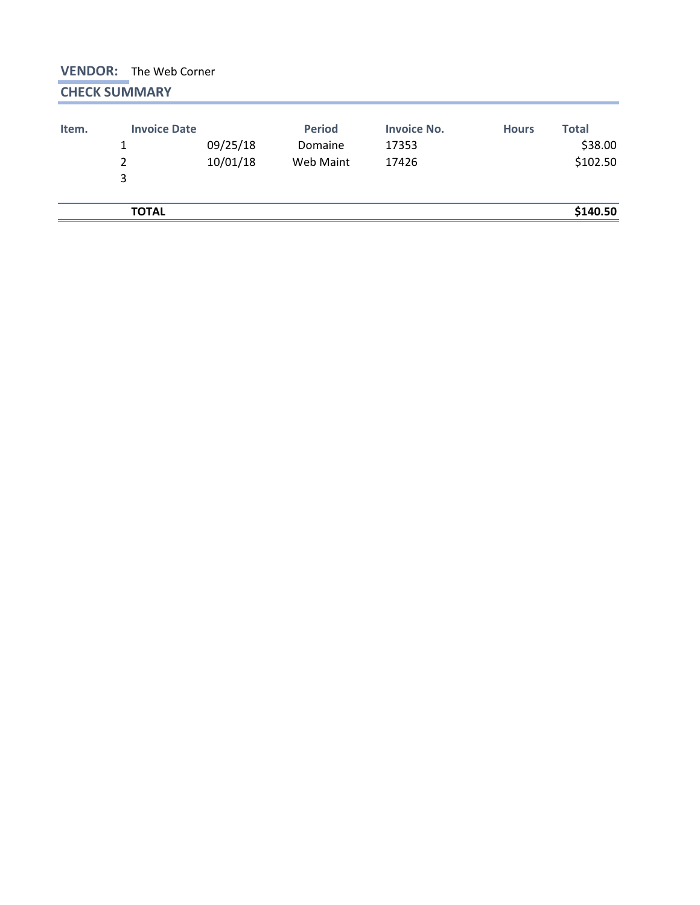### **VENDOR:** The Web Corner **CHECK SUMMARY**

| Item. | <b>Invoice Date</b><br>1<br>2<br>3 | 09/25/18<br>10/01/18 | <b>Period</b><br>Domaine<br>Web Maint | <b>Invoice No.</b><br>17353<br>17426 | <b>Hours</b> | <b>Total</b><br>\$38.00<br>\$102.50 |
|-------|------------------------------------|----------------------|---------------------------------------|--------------------------------------|--------------|-------------------------------------|
|       | <b>TOTAL</b>                       |                      |                                       |                                      |              | \$140.50                            |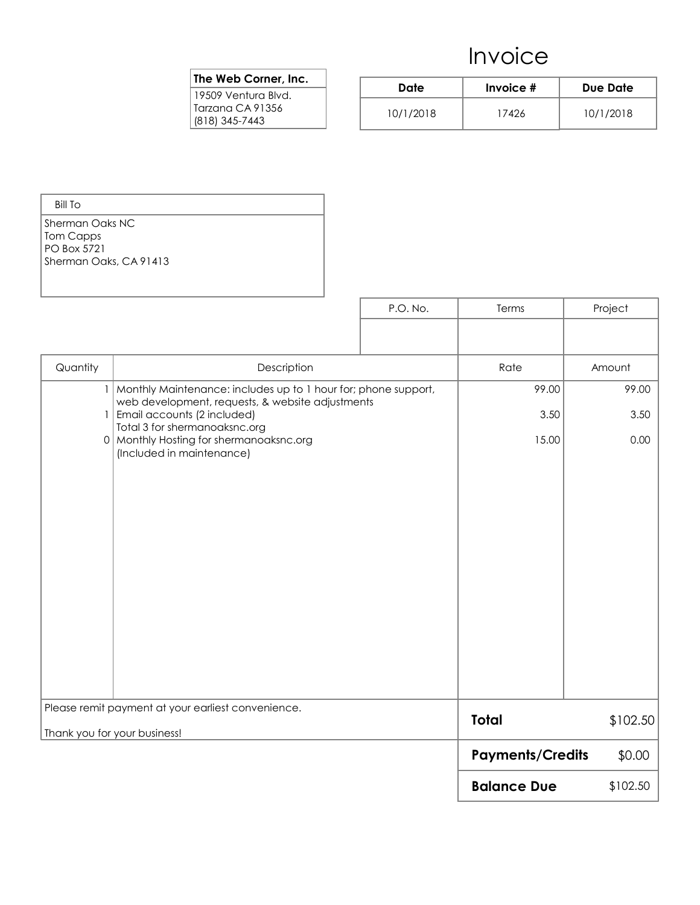### Invoice

#### The Web Corner, Inc.

19509 Ventura Blvd. Tarzana CA 91356 (818) 345-7443

| Date      | Invoice # | Due Date  |  |
|-----------|-----------|-----------|--|
| 10/1/2018 | 17426     | 10/1/2018 |  |

| Bill To                  |
|--------------------------|
| l Sherman Oaks NC.       |
| Tom Capps                |
| PO Box 5721              |
| l Sherman Oaks, CA 91413 |
|                          |

|          |                                                                                                                                                                                        | P.O. No. | Terms                   | Project       |
|----------|----------------------------------------------------------------------------------------------------------------------------------------------------------------------------------------|----------|-------------------------|---------------|
|          |                                                                                                                                                                                        |          |                         |               |
| Quantity | Description                                                                                                                                                                            |          | Rate                    | Amount        |
| $\vert$  | 1   Monthly Maintenance: includes up to 1 hour for; phone support,<br>web development, requests, & website adjustments<br>Email accounts (2 included)<br>Total 3 for shermanoaksnc.org |          | 99.00<br>3.50           | 99.00<br>3.50 |
| 0        | Monthly Hosting for shermanoaksnc.org<br>(Included in maintenance)                                                                                                                     |          | 15.00                   | 0.00          |
|          | Please remit payment at your earliest convenience.                                                                                                                                     |          | <b>Total</b>            | \$102.50      |
|          | Thank you for your business!                                                                                                                                                           |          | <b>Payments/Credits</b> | \$0.00        |
|          |                                                                                                                                                                                        |          | <b>Balance Due</b>      | \$102.50      |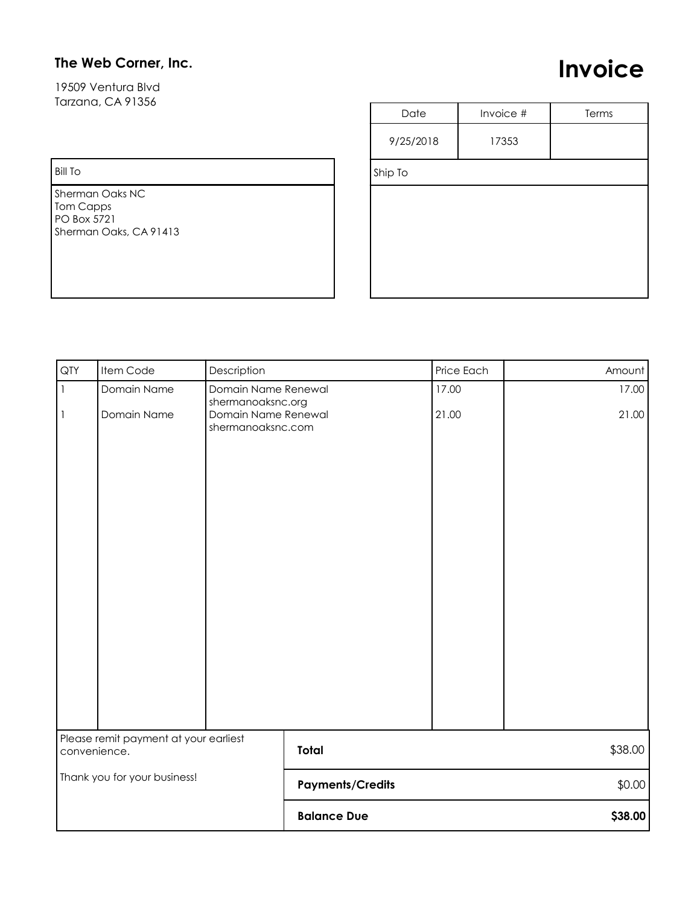### The Web Corner, Inc.

19509 Ventura Blvd Tarzana, CA 91356

## Invoice

Bill To

Sherman Oaks NC Tom Capps PO Box 5721 Sherman Oaks, CA 91413

| Date      | Invoice # | Terms |
|-----------|-----------|-------|
| 9/25/2018 | 17353     |       |
| Ship To   |           |       |
|           |           |       |
|           |           |       |
|           |           |       |
|           |           |       |
|           |           |       |

| QTY          | Item Code                             | Description                                                   |                         | Price Each | Amount  |
|--------------|---------------------------------------|---------------------------------------------------------------|-------------------------|------------|---------|
| $\mathbf{I}$ | Domain Name                           | Domain Name Renewal                                           |                         | 17.00      | 17.00   |
| $\vert$ 1    | Domain Name                           | shermanoaksnc.org<br>Domain Name Renewal<br>shermanoaksnc.com |                         | 21.00      | 21.00   |
|              | Please remit payment at your earliest |                                                               | Total                   |            |         |
| convenience. |                                       |                                                               |                         |            | \$38.00 |
|              | Thank you for your business!          |                                                               | <b>Payments/Credits</b> |            | \$0.00  |
|              |                                       |                                                               | <b>Balance Due</b>      |            | \$38.00 |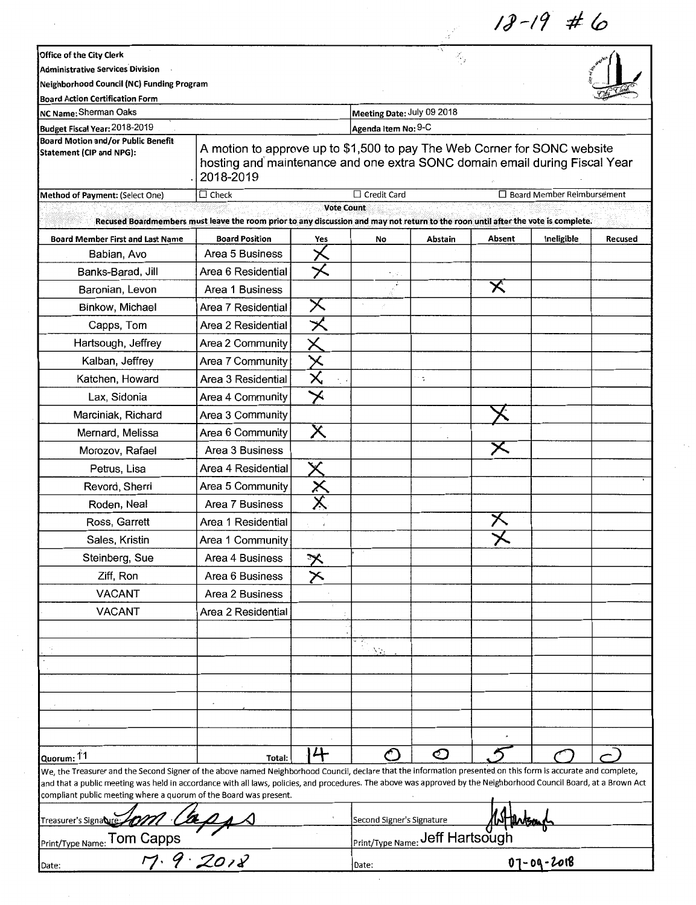*IJ--19* # (o

| Office of the City Clerk<br><b>Administrative Services Division</b>                                                                                                                                                                                                                                                                                                                                       |                                                                                                                                                                     |                         |                                 | ٠.                 |               |                                   |         |
|-----------------------------------------------------------------------------------------------------------------------------------------------------------------------------------------------------------------------------------------------------------------------------------------------------------------------------------------------------------------------------------------------------------|---------------------------------------------------------------------------------------------------------------------------------------------------------------------|-------------------------|---------------------------------|--------------------|---------------|-----------------------------------|---------|
| Neighborhood Council (NC) Funding Program                                                                                                                                                                                                                                                                                                                                                                 |                                                                                                                                                                     |                         |                                 |                    |               |                                   |         |
| <b>Board Action Certification Form</b><br>NC Name: Sherman Oaks                                                                                                                                                                                                                                                                                                                                           |                                                                                                                                                                     |                         | Meeting Date: July 09 2018      |                    |               |                                   |         |
| Budget Fiscal Year: 2018-2019                                                                                                                                                                                                                                                                                                                                                                             |                                                                                                                                                                     |                         | Agenda Item No: 9-C             |                    |               |                                   |         |
| <b>Board Motion and/or Public Benefit</b>                                                                                                                                                                                                                                                                                                                                                                 |                                                                                                                                                                     |                         |                                 |                    |               |                                   |         |
| Statement (CIP and NPG):                                                                                                                                                                                                                                                                                                                                                                                  | A motion to approve up to \$1,500 to pay The Web Corner for SONC website<br>hosting and maintenance and one extra SONC domain email during Fiscal Year<br>2018-2019 |                         |                                 |                    |               |                                   |         |
| Method of Payment: (Select One)                                                                                                                                                                                                                                                                                                                                                                           | $\overline{\Box}$ Check                                                                                                                                             |                         | Credit Card                     |                    |               | $\Box$ Board Member Reimbursement |         |
|                                                                                                                                                                                                                                                                                                                                                                                                           | Recused Boardmembers must leave the room prior to any discussion and may not return to the roon until after the vote is complete.                                   | <b>Vote Count</b>       |                                 |                    |               |                                   |         |
| <b>Board Member First and Last Name</b>                                                                                                                                                                                                                                                                                                                                                                   | <b>Board Position</b>                                                                                                                                               | Yes                     | No                              | Abstain            | Absent        | Ineligible                        | Recused |
| Babian, Avo                                                                                                                                                                                                                                                                                                                                                                                               | Area 5 Business                                                                                                                                                     |                         |                                 |                    |               |                                   |         |
| Banks-Barad, Jill                                                                                                                                                                                                                                                                                                                                                                                         | Area 6 Residential                                                                                                                                                  |                         |                                 |                    |               |                                   |         |
| Baronian, Levon                                                                                                                                                                                                                                                                                                                                                                                           | Area 1 Business                                                                                                                                                     |                         |                                 |                    | $\bm{\times}$ |                                   |         |
| Binkow, Michael                                                                                                                                                                                                                                                                                                                                                                                           | Area 7 Residential                                                                                                                                                  | X                       |                                 |                    |               |                                   |         |
| Capps, Tom                                                                                                                                                                                                                                                                                                                                                                                                | Area 2 Residential                                                                                                                                                  |                         |                                 |                    |               |                                   |         |
| Hartsough, Jeffrey                                                                                                                                                                                                                                                                                                                                                                                        | Area 2 Community                                                                                                                                                    |                         |                                 |                    |               |                                   |         |
| Kalban, Jeffrey                                                                                                                                                                                                                                                                                                                                                                                           | Area 7 Community                                                                                                                                                    |                         |                                 |                    |               |                                   |         |
| Katchen, Howard                                                                                                                                                                                                                                                                                                                                                                                           | Area 3 Residential                                                                                                                                                  | $\overline{\mathsf{x}}$ |                                 | ۰.                 |               |                                   |         |
| Lax, Sidonia                                                                                                                                                                                                                                                                                                                                                                                              | Area 4 Community                                                                                                                                                    | $\bm{\times}$           |                                 |                    |               |                                   |         |
| Marciniak, Richard                                                                                                                                                                                                                                                                                                                                                                                        | Area 3 Community                                                                                                                                                    |                         |                                 |                    |               |                                   |         |
| Mernard, Melissa                                                                                                                                                                                                                                                                                                                                                                                          | Area 6 Community                                                                                                                                                    | Х                       |                                 |                    |               |                                   |         |
| Morozov, Rafael                                                                                                                                                                                                                                                                                                                                                                                           | Area 3 Business                                                                                                                                                     |                         |                                 |                    | ㄨ             |                                   |         |
| Petrus, Lisa                                                                                                                                                                                                                                                                                                                                                                                              | Area 4 Residential                                                                                                                                                  |                         |                                 |                    |               |                                   |         |
| Revord, Sherri                                                                                                                                                                                                                                                                                                                                                                                            | Area 5 Community                                                                                                                                                    |                         |                                 |                    |               |                                   |         |
| Roden, Neal                                                                                                                                                                                                                                                                                                                                                                                               | Area 7 Business                                                                                                                                                     |                         |                                 |                    |               |                                   |         |
| Ross, Garrett                                                                                                                                                                                                                                                                                                                                                                                             | Area 1 Residential                                                                                                                                                  |                         |                                 |                    |               |                                   |         |
| Sales, Kristin                                                                                                                                                                                                                                                                                                                                                                                            | Area 1 Community                                                                                                                                                    |                         |                                 |                    |               |                                   |         |
| Steinberg, Sue                                                                                                                                                                                                                                                                                                                                                                                            | Area 4 Business                                                                                                                                                     | <u>水</u>                |                                 |                    |               |                                   |         |
| Ziff, Ron                                                                                                                                                                                                                                                                                                                                                                                                 | Area 6 Business                                                                                                                                                     | ≻                       |                                 |                    |               |                                   |         |
| <b>VACANT</b>                                                                                                                                                                                                                                                                                                                                                                                             | Area 2 Business                                                                                                                                                     |                         |                                 |                    |               |                                   |         |
| <b>VACANT</b>                                                                                                                                                                                                                                                                                                                                                                                             | Area 2 Residential                                                                                                                                                  |                         |                                 |                    |               |                                   |         |
|                                                                                                                                                                                                                                                                                                                                                                                                           |                                                                                                                                                                     |                         |                                 |                    |               |                                   |         |
|                                                                                                                                                                                                                                                                                                                                                                                                           |                                                                                                                                                                     |                         | ÷,                              |                    |               |                                   |         |
|                                                                                                                                                                                                                                                                                                                                                                                                           |                                                                                                                                                                     |                         | Λ'n.                            |                    |               |                                   |         |
|                                                                                                                                                                                                                                                                                                                                                                                                           |                                                                                                                                                                     |                         |                                 |                    |               |                                   |         |
|                                                                                                                                                                                                                                                                                                                                                                                                           |                                                                                                                                                                     |                         |                                 |                    |               |                                   |         |
|                                                                                                                                                                                                                                                                                                                                                                                                           |                                                                                                                                                                     |                         |                                 |                    |               |                                   |         |
|                                                                                                                                                                                                                                                                                                                                                                                                           |                                                                                                                                                                     |                         |                                 |                    |               |                                   |         |
|                                                                                                                                                                                                                                                                                                                                                                                                           |                                                                                                                                                                     |                         |                                 |                    |               |                                   |         |
| Quorum: 11                                                                                                                                                                                                                                                                                                                                                                                                | Total:                                                                                                                                                              | 4                       |                                 | $\circlearrowleft$ |               |                                   |         |
| We, the Treasurer and the Second Signer of the above named Neighborhood Council, declare that the information presented on this form is accurate and complete,<br>and that a public meeting was held in accordance with all laws, policies, and procedures. The above was approved by the Neighborhood Council Board, at a Brown Act<br>compliant public meeting where a quorum of the Board was present. |                                                                                                                                                                     |                         |                                 |                    |               |                                   |         |
| Treasurer's Signabre :                                                                                                                                                                                                                                                                                                                                                                                    |                                                                                                                                                                     |                         | Second Signer's Signature       |                    |               |                                   |         |
| Print/Type Name: Tom Capps<br>$\overline{7} \cdot \overline{7} \cdot \overline{2012}$                                                                                                                                                                                                                                                                                                                     |                                                                                                                                                                     |                         | Print/Type Name: Jeff Hartsough |                    |               |                                   |         |
|                                                                                                                                                                                                                                                                                                                                                                                                           |                                                                                                                                                                     |                         | Date:                           |                    |               | $07 - 09 - 2018$                  |         |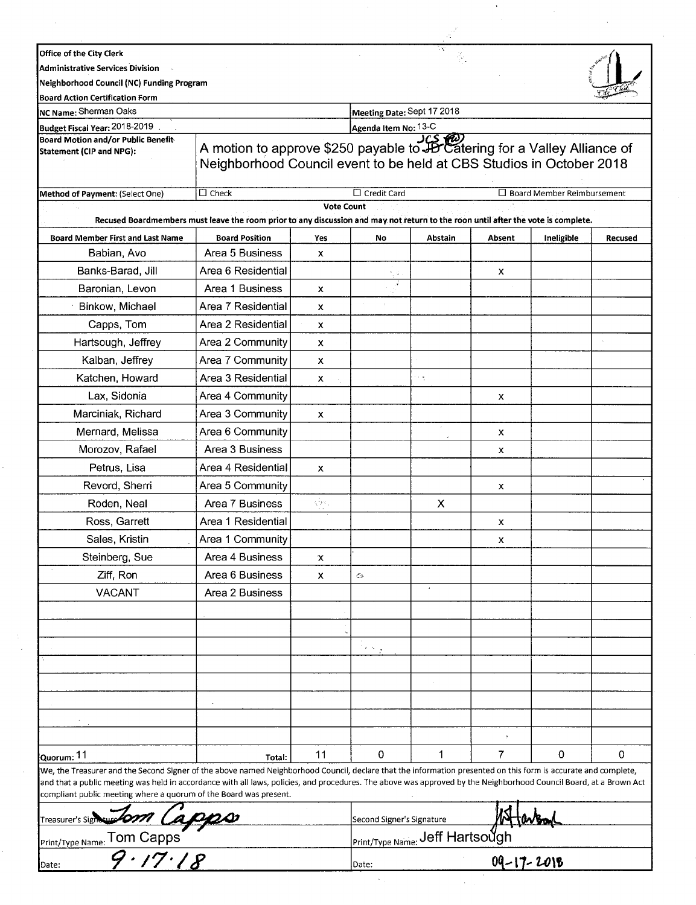|                                                                                                                                                                                                                                                                                                                                                                                                           |                                                                                                                                                   |            |                            | 74                                     |                |                                   |          |
|-----------------------------------------------------------------------------------------------------------------------------------------------------------------------------------------------------------------------------------------------------------------------------------------------------------------------------------------------------------------------------------------------------------|---------------------------------------------------------------------------------------------------------------------------------------------------|------------|----------------------------|----------------------------------------|----------------|-----------------------------------|----------|
| Office of the City Clerk                                                                                                                                                                                                                                                                                                                                                                                  |                                                                                                                                                   |            |                            | V.                                     |                |                                   |          |
| <b>Administrative Services Division</b>                                                                                                                                                                                                                                                                                                                                                                   |                                                                                                                                                   |            |                            |                                        |                |                                   |          |
| <b>Neighborhood Council (NC) Funding Program</b>                                                                                                                                                                                                                                                                                                                                                          |                                                                                                                                                   |            |                            |                                        |                |                                   |          |
| <b>Board Action Certification Form</b><br>NC Name: Sherman Oaks                                                                                                                                                                                                                                                                                                                                           |                                                                                                                                                   |            | Meeting Date: Sept 17 2018 |                                        |                |                                   |          |
| Budget Fiscal Year: 2018-2019                                                                                                                                                                                                                                                                                                                                                                             |                                                                                                                                                   |            | Agenda Item No: 13-C       |                                        |                |                                   |          |
| <b>Board Motion and/or Public Benefit-</b><br>Statement (CIP and NPG):                                                                                                                                                                                                                                                                                                                                    | A motion to approve \$250 payable to JB Catering for a Valley Alliance of<br>Neighborhood Council event to be held at CBS Studios in October 2018 |            |                            |                                        |                |                                   |          |
| Method of Payment: (Select One)                                                                                                                                                                                                                                                                                                                                                                           | $\square$ Check                                                                                                                                   |            | $\Box$ Credit Card         |                                        |                | $\Box$ Board Member Reimbursement |          |
|                                                                                                                                                                                                                                                                                                                                                                                                           | Recused Boardmembers must leave the room prior to any discussion and may not return to the roon until after the vote is complete.                 | Vote Count |                            |                                        |                |                                   |          |
| <b>Board Member First and Last Name</b>                                                                                                                                                                                                                                                                                                                                                                   | <b>Board Position</b>                                                                                                                             | Yes        | No                         | Abstain                                | Absent         | Ineligible                        | Recused  |
| Babian, Avo                                                                                                                                                                                                                                                                                                                                                                                               | Area 5 Business                                                                                                                                   | x          |                            |                                        |                |                                   |          |
| Banks-Barad, Jill                                                                                                                                                                                                                                                                                                                                                                                         | Area 6 Residential                                                                                                                                |            |                            |                                        | x              |                                   |          |
| Baronian, Levon                                                                                                                                                                                                                                                                                                                                                                                           | Area 1 Business                                                                                                                                   | x          |                            |                                        |                |                                   |          |
| Binkow, Michael                                                                                                                                                                                                                                                                                                                                                                                           | Area 7 Residential                                                                                                                                | x          |                            |                                        |                |                                   |          |
| Capps, Tom                                                                                                                                                                                                                                                                                                                                                                                                | Area 2 Residential                                                                                                                                | x          |                            |                                        |                |                                   |          |
| Hartsough, Jeffrey                                                                                                                                                                                                                                                                                                                                                                                        | Area 2 Community                                                                                                                                  | x          |                            |                                        |                |                                   |          |
| Kalban, Jeffrey                                                                                                                                                                                                                                                                                                                                                                                           | Area 7 Community                                                                                                                                  | x          |                            |                                        |                |                                   |          |
| Katchen, Howard                                                                                                                                                                                                                                                                                                                                                                                           | Area 3 Residential                                                                                                                                | x          |                            | 17                                     |                |                                   |          |
| Lax, Sidonia                                                                                                                                                                                                                                                                                                                                                                                              | Area 4 Community                                                                                                                                  |            |                            |                                        | x              |                                   |          |
| Marciniak, Richard                                                                                                                                                                                                                                                                                                                                                                                        | Area 3 Community                                                                                                                                  | x          |                            |                                        |                |                                   |          |
| Mernard, Melissa                                                                                                                                                                                                                                                                                                                                                                                          | Area 6 Community                                                                                                                                  |            |                            |                                        | x              |                                   |          |
| Morozov, Rafael                                                                                                                                                                                                                                                                                                                                                                                           | Area 3 Business                                                                                                                                   |            |                            |                                        | x              |                                   |          |
| Petrus, Lisa                                                                                                                                                                                                                                                                                                                                                                                              | Area 4 Residential                                                                                                                                | x          |                            |                                        |                |                                   |          |
| Revord, Sherri                                                                                                                                                                                                                                                                                                                                                                                            | Area 5 Community                                                                                                                                  |            |                            |                                        | x              |                                   |          |
| Roden, Neal                                                                                                                                                                                                                                                                                                                                                                                               | Area 7 Business                                                                                                                                   | sign.      |                            | X                                      |                |                                   |          |
| Ross, Garrett                                                                                                                                                                                                                                                                                                                                                                                             | Area 1 Residential                                                                                                                                |            |                            |                                        | x              |                                   |          |
| Sales, Kristin                                                                                                                                                                                                                                                                                                                                                                                            | Area 1 Community                                                                                                                                  |            |                            |                                        | x              |                                   |          |
| Steinberg, Sue                                                                                                                                                                                                                                                                                                                                                                                            | Area 4 Business                                                                                                                                   | x          |                            |                                        |                |                                   |          |
| Ziff, Ron                                                                                                                                                                                                                                                                                                                                                                                                 | Area 6 Business                                                                                                                                   | x          | C9.                        |                                        |                |                                   |          |
| <b>VACANT</b>                                                                                                                                                                                                                                                                                                                                                                                             | Area 2 Business                                                                                                                                   |            |                            | $\epsilon$                             |                |                                   |          |
|                                                                                                                                                                                                                                                                                                                                                                                                           |                                                                                                                                                   |            |                            |                                        |                |                                   |          |
|                                                                                                                                                                                                                                                                                                                                                                                                           |                                                                                                                                                   |            |                            |                                        |                |                                   |          |
|                                                                                                                                                                                                                                                                                                                                                                                                           |                                                                                                                                                   |            | $\mathcal{O}(\sqrt{3})$    |                                        |                |                                   |          |
|                                                                                                                                                                                                                                                                                                                                                                                                           |                                                                                                                                                   |            |                            |                                        |                |                                   |          |
|                                                                                                                                                                                                                                                                                                                                                                                                           |                                                                                                                                                   |            |                            |                                        |                |                                   |          |
|                                                                                                                                                                                                                                                                                                                                                                                                           |                                                                                                                                                   |            |                            |                                        |                |                                   |          |
|                                                                                                                                                                                                                                                                                                                                                                                                           |                                                                                                                                                   |            |                            |                                        |                |                                   |          |
|                                                                                                                                                                                                                                                                                                                                                                                                           |                                                                                                                                                   |            |                            |                                        |                |                                   |          |
|                                                                                                                                                                                                                                                                                                                                                                                                           |                                                                                                                                                   |            |                            |                                        |                |                                   |          |
| Quorum: 11                                                                                                                                                                                                                                                                                                                                                                                                | Total:                                                                                                                                            | 11         | $\Omega$                   | 1                                      | $\overline{7}$ | $\Omega$                          | $\Omega$ |
| We, the Treasurer and the Second Signer of the above named Neighborhood Council, declare that the information presented on this form is accurate and complete,<br>and that a public meeting was held in accordance with all laws, policies, and procedures. The above was approved by the Neighborhood Council Board, at a Brown Act<br>compliant public meeting where a quorum of the Board was present. |                                                                                                                                                   |            |                            |                                        |                |                                   |          |
| Freasurer's Sigh                                                                                                                                                                                                                                                                                                                                                                                          |                                                                                                                                                   |            | Second Signer's Signature  |                                        |                |                                   |          |
| Print/Type Name: Tom Capps                                                                                                                                                                                                                                                                                                                                                                                |                                                                                                                                                   |            |                            | <b>Print/Type Name: Jeff Hartsough</b> |                |                                   |          |
| 17.18<br>Date:                                                                                                                                                                                                                                                                                                                                                                                            |                                                                                                                                                   |            | $09 - 17 - 2018$<br>Date:  |                                        |                |                                   |          |

 $\sim$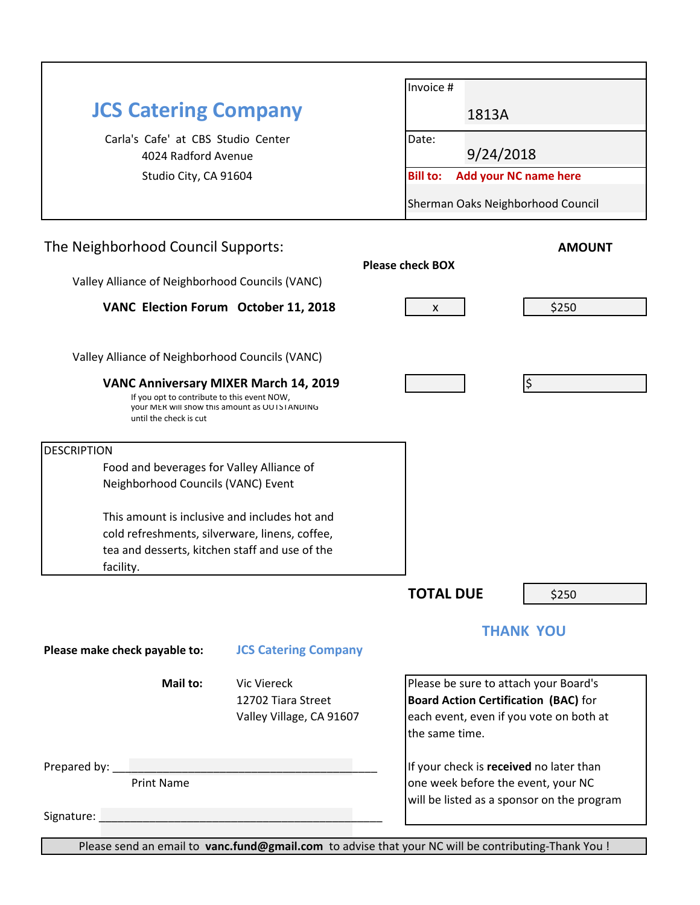|                                                                                              |                                              | Invoice #                                                                     |                                             |                                            |  |  |
|----------------------------------------------------------------------------------------------|----------------------------------------------|-------------------------------------------------------------------------------|---------------------------------------------|--------------------------------------------|--|--|
| <b>JCS Catering Company</b>                                                                  |                                              |                                                                               | 1813A                                       |                                            |  |  |
| Carla's Cafe' at CBS Studio Center                                                           |                                              | Date:                                                                         |                                             |                                            |  |  |
| 4024 Radford Avenue                                                                          |                                              |                                                                               | 9/24/2018                                   |                                            |  |  |
| Studio City, CA 91604                                                                        |                                              | <b>Bill to:</b>                                                               | <b>Add your NC name here</b>                |                                            |  |  |
|                                                                                              |                                              |                                                                               | Sherman Oaks Neighborhood Council           |                                            |  |  |
| The Neighborhood Council Supports:                                                           |                                              |                                                                               |                                             | <b>AMOUNT</b>                              |  |  |
|                                                                                              | <b>Please check BOX</b>                      |                                                                               |                                             |                                            |  |  |
| Valley Alliance of Neighborhood Councils (VANC)                                              |                                              |                                                                               |                                             |                                            |  |  |
| VANC Election Forum October 11, 2018                                                         | X                                            |                                                                               | \$250                                       |                                            |  |  |
|                                                                                              |                                              |                                                                               |                                             |                                            |  |  |
| Valley Alliance of Neighborhood Councils (VANC)                                              |                                              |                                                                               |                                             |                                            |  |  |
|                                                                                              | <b>VANC Anniversary MIXER March 14, 2019</b> |                                                                               |                                             |                                            |  |  |
| If you opt to contribute to this event NOW,<br>your MER will show this amount as OUTSTANDING |                                              |                                                                               |                                             |                                            |  |  |
| until the check is cut                                                                       |                                              |                                                                               |                                             |                                            |  |  |
| <b>DESCRIPTION</b>                                                                           |                                              |                                                                               |                                             |                                            |  |  |
| Food and beverages for Valley Alliance of                                                    |                                              |                                                                               |                                             |                                            |  |  |
| Neighborhood Councils (VANC) Event                                                           |                                              |                                                                               |                                             |                                            |  |  |
| This amount is inclusive and includes hot and                                                |                                              |                                                                               |                                             |                                            |  |  |
| cold refreshments, silverware, linens, coffee,                                               |                                              |                                                                               |                                             |                                            |  |  |
| tea and desserts, kitchen staff and use of the<br>facility.                                  |                                              |                                                                               |                                             |                                            |  |  |
|                                                                                              |                                              |                                                                               |                                             |                                            |  |  |
|                                                                                              |                                              | <b>TOTAL DUE</b>                                                              |                                             | \$250                                      |  |  |
|                                                                                              |                                              |                                                                               | <b>THANK YOU</b>                            |                                            |  |  |
| Please make check payable to:                                                                | <b>JCS Catering Company</b>                  |                                                                               |                                             |                                            |  |  |
| Mail to:                                                                                     | <b>Vic Viereck</b>                           |                                                                               | Please be sure to attach your Board's       |                                            |  |  |
|                                                                                              | 12702 Tiara Street                           |                                                                               | <b>Board Action Certification (BAC)</b> for |                                            |  |  |
|                                                                                              | Valley Village, CA 91607                     | the same time.                                                                |                                             | each event, even if you vote on both at    |  |  |
|                                                                                              |                                              |                                                                               |                                             |                                            |  |  |
| <b>Print Name</b>                                                                            |                                              | If your check is received no later than<br>one week before the event, your NC |                                             |                                            |  |  |
|                                                                                              |                                              |                                                                               |                                             | will be listed as a sponsor on the program |  |  |
|                                                                                              |                                              |                                                                               |                                             |                                            |  |  |

Please send an email to **vanc.fund@gmail.com** to advise that your NC will be contributing-Thank You !

l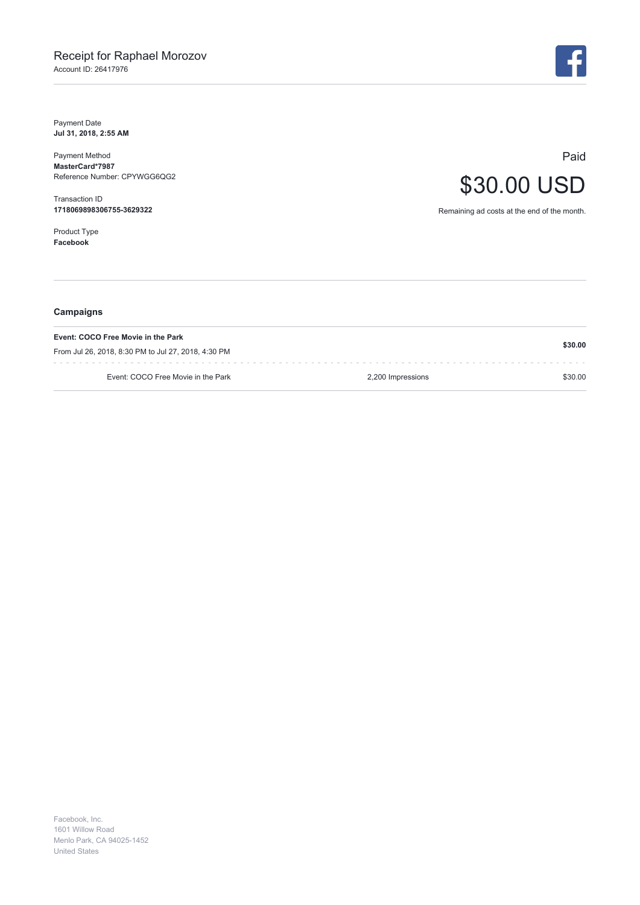Payment Date **Jul 31, 2018, 2:55 AM**

Payment Method **MasterCard\*7987** Reference Number: CPYWGG6QG2

Transaction ID **1718069898306755-3629322**

Product Type **Facebook**



Paid \$30.00 USD

Remaining ad costs at the end of the month.

| Campaigns                                                                                 |                   |         |
|-------------------------------------------------------------------------------------------|-------------------|---------|
| Event: COCO Free Movie in the Park<br>From Jul 26, 2018, 8:30 PM to Jul 27, 2018, 4:30 PM |                   | \$30.00 |
| Event: COCO Free Movie in the Park                                                        | 2,200 Impressions | \$30.00 |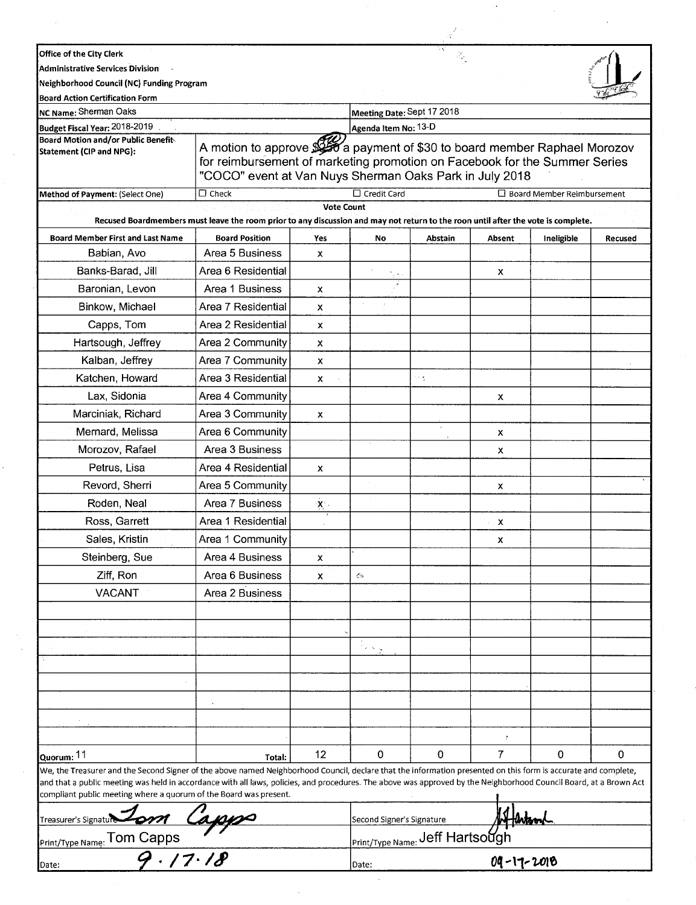| Office of the City Clerk<br>Administrative Services Division                                                                                                                                                                            |                                                                                                                                   |                           |                                                                                                                                                                                                                      |         |            |                                   |         |
|-----------------------------------------------------------------------------------------------------------------------------------------------------------------------------------------------------------------------------------------|-----------------------------------------------------------------------------------------------------------------------------------|---------------------------|----------------------------------------------------------------------------------------------------------------------------------------------------------------------------------------------------------------------|---------|------------|-----------------------------------|---------|
| Neighborhood Council (NC) Funding Program                                                                                                                                                                                               |                                                                                                                                   |                           |                                                                                                                                                                                                                      |         |            |                                   |         |
| <b>Board Action Certification Form</b>                                                                                                                                                                                                  |                                                                                                                                   |                           |                                                                                                                                                                                                                      |         |            |                                   |         |
| NC Name: Sherman Oaks                                                                                                                                                                                                                   |                                                                                                                                   |                           | Meeting Date: Sept 17 2018                                                                                                                                                                                           |         |            |                                   |         |
| Budget Fiscal Year: 2018-2019                                                                                                                                                                                                           |                                                                                                                                   |                           | Agenda Item No: 13-D                                                                                                                                                                                                 |         |            |                                   |         |
| <b>Board Motion and/or Public Benefit-</b><br>Statement (CIP and NPG):                                                                                                                                                                  |                                                                                                                                   |                           | A motion to approve \$250 a payment of \$30 to board member Raphael Morozov<br>for reimbursement of marketing promotion on Facebook for the Summer Series<br>"COCO" event at Van Nuys Sherman Oaks Park in July 2018 |         |            |                                   |         |
| Method of Payment: (Select One)                                                                                                                                                                                                         | $\square$ Check                                                                                                                   |                           | $\Box$ Credit Card                                                                                                                                                                                                   |         |            | $\Box$ Board Member Reimbursement |         |
|                                                                                                                                                                                                                                         | Recused Boardmembers must leave the room prior to any discussion and may not return to the roon until after the vote is complete. | <b>Vote Count</b>         |                                                                                                                                                                                                                      |         |            |                                   |         |
| <b>Board Member First and Last Name</b>                                                                                                                                                                                                 | <b>Board Position</b>                                                                                                             | Yes                       | No                                                                                                                                                                                                                   | Abstain | Absent     | Ineligible                        | Recused |
| Babian, Avo                                                                                                                                                                                                                             | Area 5 Business                                                                                                                   | x                         |                                                                                                                                                                                                                      |         |            |                                   |         |
| Banks-Barad, Jill                                                                                                                                                                                                                       | Area 6 Residential                                                                                                                |                           |                                                                                                                                                                                                                      |         | X          |                                   |         |
| Baronian, Levon                                                                                                                                                                                                                         | Area 1 Business                                                                                                                   | x                         |                                                                                                                                                                                                                      |         |            |                                   |         |
| Binkow, Michael                                                                                                                                                                                                                         | Area 7 Residential                                                                                                                | x                         |                                                                                                                                                                                                                      |         |            |                                   |         |
| Capps, Tom                                                                                                                                                                                                                              | Area 2 Residential                                                                                                                | x                         |                                                                                                                                                                                                                      |         |            |                                   |         |
| Hartsough, Jeffrey                                                                                                                                                                                                                      | Area 2 Community                                                                                                                  | x                         |                                                                                                                                                                                                                      |         |            |                                   |         |
| Kalban, Jeffrey                                                                                                                                                                                                                         | Area 7 Community                                                                                                                  | x                         |                                                                                                                                                                                                                      |         |            |                                   |         |
| Katchen, Howard                                                                                                                                                                                                                         | Area 3 Residential                                                                                                                | x                         |                                                                                                                                                                                                                      | in t    |            |                                   |         |
| Lax, Sidonia                                                                                                                                                                                                                            | Area 4 Community                                                                                                                  |                           |                                                                                                                                                                                                                      |         | х          |                                   |         |
| Marciniak, Richard                                                                                                                                                                                                                      | Area 3 Community                                                                                                                  | x                         |                                                                                                                                                                                                                      |         |            |                                   |         |
| Mernard, Melissa                                                                                                                                                                                                                        | Area 6 Community                                                                                                                  |                           |                                                                                                                                                                                                                      |         | х          |                                   |         |
| Morozov, Rafael                                                                                                                                                                                                                         | Area 3 Business                                                                                                                   |                           |                                                                                                                                                                                                                      |         | х          |                                   |         |
| Petrus, Lisa                                                                                                                                                                                                                            | Area 4 Residential                                                                                                                | x                         |                                                                                                                                                                                                                      |         |            |                                   |         |
| Revord, Sherri                                                                                                                                                                                                                          | Area 5 Community                                                                                                                  |                           |                                                                                                                                                                                                                      |         | х          |                                   |         |
| Roden, Neal                                                                                                                                                                                                                             | Area 7 Business                                                                                                                   | $\mathbf{X}^{\mathrm{c}}$ |                                                                                                                                                                                                                      |         |            |                                   |         |
| Ross, Garrett                                                                                                                                                                                                                           | Area 1 Residential                                                                                                                |                           |                                                                                                                                                                                                                      |         | х          |                                   |         |
| Sales, Kristin                                                                                                                                                                                                                          | Area 1 Community                                                                                                                  |                           |                                                                                                                                                                                                                      |         | х          |                                   |         |
| Steinberg, Sue                                                                                                                                                                                                                          | Area 4 Business                                                                                                                   | X.                        |                                                                                                                                                                                                                      |         |            |                                   |         |
| Ziff, Ron                                                                                                                                                                                                                               | Area 6 Business                                                                                                                   | x                         | Ó                                                                                                                                                                                                                    |         |            |                                   |         |
| <b>VACANT</b>                                                                                                                                                                                                                           | Area 2 Business                                                                                                                   |                           |                                                                                                                                                                                                                      |         |            |                                   |         |
|                                                                                                                                                                                                                                         |                                                                                                                                   |                           |                                                                                                                                                                                                                      |         |            |                                   |         |
|                                                                                                                                                                                                                                         |                                                                                                                                   |                           |                                                                                                                                                                                                                      |         |            |                                   |         |
|                                                                                                                                                                                                                                         |                                                                                                                                   |                           | $\mathcal{O}(\sqrt{2})$                                                                                                                                                                                              |         |            |                                   |         |
|                                                                                                                                                                                                                                         |                                                                                                                                   |                           |                                                                                                                                                                                                                      |         |            |                                   |         |
|                                                                                                                                                                                                                                         |                                                                                                                                   |                           |                                                                                                                                                                                                                      |         |            |                                   |         |
|                                                                                                                                                                                                                                         |                                                                                                                                   |                           |                                                                                                                                                                                                                      |         |            |                                   |         |
|                                                                                                                                                                                                                                         |                                                                                                                                   |                           |                                                                                                                                                                                                                      |         |            |                                   |         |
|                                                                                                                                                                                                                                         |                                                                                                                                   |                           |                                                                                                                                                                                                                      |         |            |                                   |         |
| Quorum: 11                                                                                                                                                                                                                              |                                                                                                                                   | 12                        | $\mathbf 0$                                                                                                                                                                                                          | 0       | 7          | 0                                 | 0       |
| We, the Treasurer and the Second Signer of the above named Neighborhood Council, declare that the information presented on this form is accurate and complete,                                                                          | Total:                                                                                                                            |                           |                                                                                                                                                                                                                      |         |            |                                   |         |
| and that a public meeting was held in accordance with all laws, policies, and procedures. The above was approved by the Neighborhood Council Board, at a Brown Act<br>compliant public meeting where a quorum of the Board was present. |                                                                                                                                   |                           |                                                                                                                                                                                                                      |         |            |                                   |         |
| Treasurer's Signature                                                                                                                                                                                                                   |                                                                                                                                   |                           | Second Signer's Signature                                                                                                                                                                                            |         |            |                                   |         |
| Print/Type Name: Tom Capps                                                                                                                                                                                                              |                                                                                                                                   |                           | <b>Print/Type Name: Jeff Hartsough</b>                                                                                                                                                                               |         |            |                                   |         |
| 9.17.18<br>Date:                                                                                                                                                                                                                        |                                                                                                                                   |                           | Date:                                                                                                                                                                                                                |         | 09-17-2018 |                                   |         |

 $\frac{1}{2}$ 

 $\frac{1}{2}$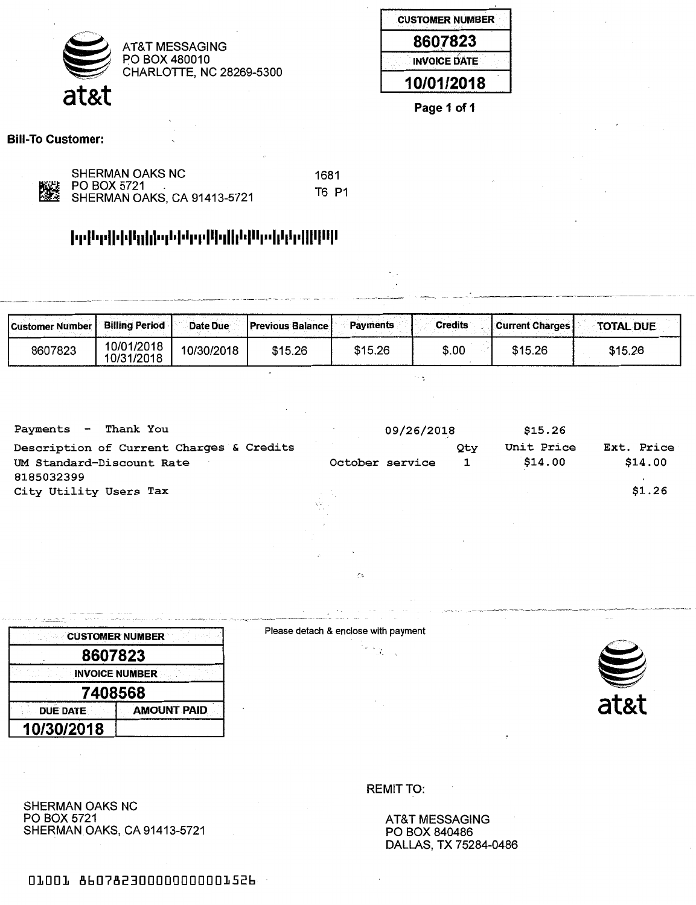

| <b>CUSTOMER NUMBER</b> |
|------------------------|
| 8607823                |
| <b>INVOICE DATE</b>    |
| 10/01/2018             |



Bill-To Customer:

| SHERMAN OAKS NC                                      | 1681  |
|------------------------------------------------------|-------|
| KALLE PO BOX 5721<br>L‱E SHERMAN OAKS, CA 91413-5721 | T6 P1 |
|                                                      |       |

### **l111ll <sup>1</sup>11ll•l <sup>1</sup>ll11l1l• <sup>1</sup>1l <sup>1</sup>l<sup>1</sup>l1 <sup>1</sup>11lll <sup>1</sup>1ll1l <sup>1</sup>lll1 <sup>11</sup> l1l1l1 <sup>1</sup>lllllllll**

| <b>Customer Number L</b> | <b>Billing Period</b>    | Date Due   | <b>Previous Balance I</b> | <b>Payments</b> | <b>Credits</b> | <b>Current Charges</b> | <b>TOTAL DUE</b> |
|--------------------------|--------------------------|------------|---------------------------|-----------------|----------------|------------------------|------------------|
| 8607823                  | 10/01/2018<br>10/31/2018 | 10/30/2018 | \$15.26                   | \$15.26         | \$.00          | \$15.26                | \$15.26          |

 $\gamma_{\mu\sigma}$ 

| Thank You<br>Payments<br>$\blacksquare$  | 09/26/2018      |     | \$15.26    |            |
|------------------------------------------|-----------------|-----|------------|------------|
| Description of Current Charges & Credits |                 | Qty | Unit Price | Ext. Price |
| UM Standard-Discount Rate<br>8185032399  | October service |     | \$14.00    | \$14.00    |
| City Utility Users Tax                   |                 |     |            | \$1.26     |
|                                          | AV U<br>$\sim$  |     |            |            |

|                                       | <b>CUSTOMER NUMBER</b> |  |  |
|---------------------------------------|------------------------|--|--|
| 8607823                               |                        |  |  |
|                                       | <b>INVOICE NUMBER</b>  |  |  |
| 7408568                               |                        |  |  |
| <b>DUE DATE</b><br><b>AMOUNT PAID</b> |                        |  |  |
| 10/30/2018                            |                        |  |  |

Please detach & enclose with payment

Č5



SHERMAN OAKS NC PO BOX 5721 SHERMAN OAKS, CA 91413-5721 REMIT TO:

AT&T MESSAGING PO BOX 840486 DALLAS, TX 75284-0486

01001 860782300000000001526